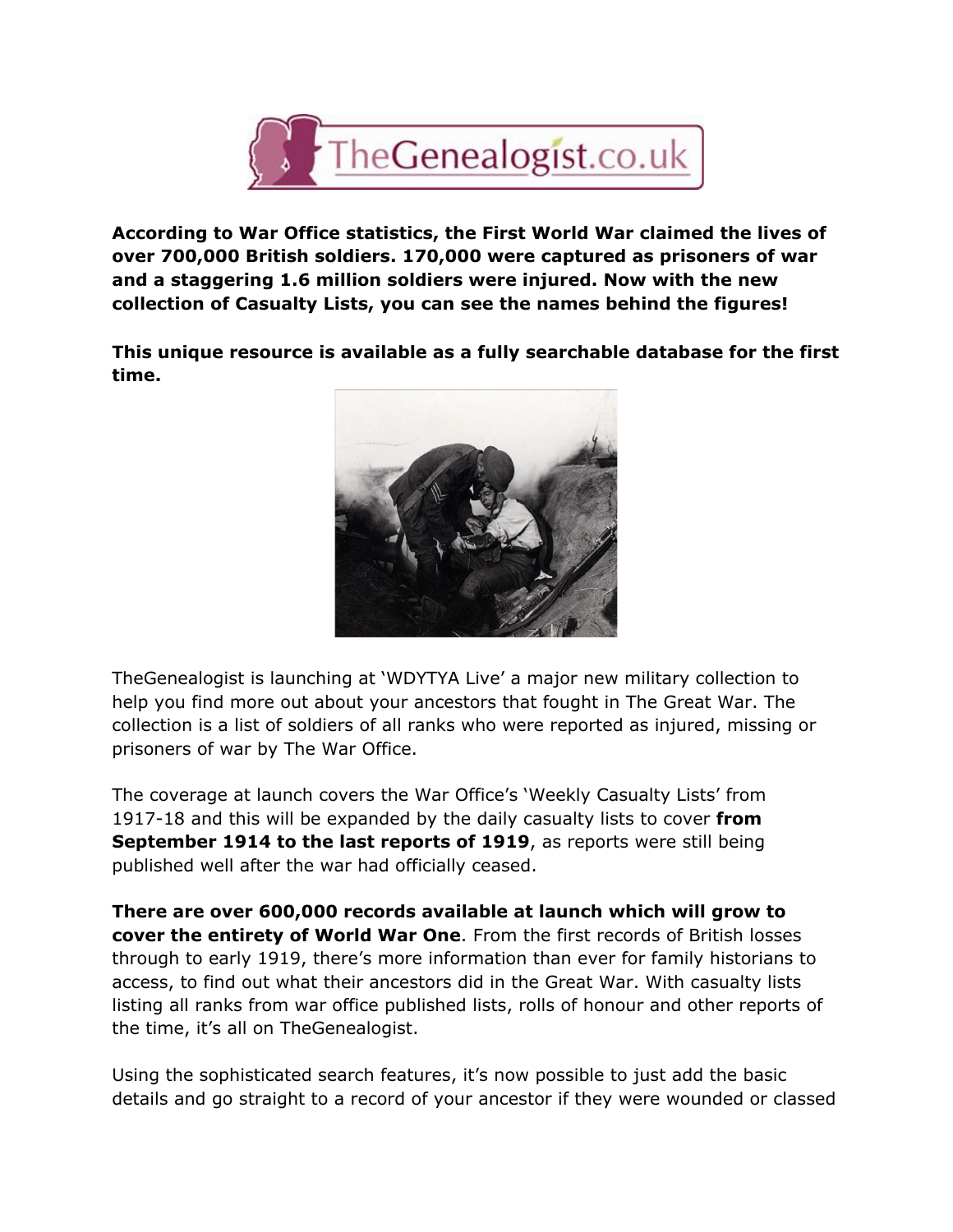

**According to War Office statistics, the First World War claimed the lives of over 700,000 British soldiers. 170,000 were captured as prisoners of war and a staggering 1.6 million soldiers were injured. Now with the new collection of Casualty Lists, you can see the names behind the figures!**

**This unique resource is available as a fully searchable database for the first time.**



TheGenealogist is launching at 'WDYTYA Live' a major new military collection to help you find more out about your ancestors that fought in The Great War. The collection is a list of soldiers of all ranks who were reported as injured, missing or prisoners of war by The War Office.

The coverage at launch covers the War Office's 'Weekly Casualty Lists' from 191718 and this will be expanded by the daily casualty lists to cover **from September 1914 to the last reports of 1919**, as reports were still being published well after the war had officially ceased.

**There are over 600,000 records available at launch which will grow to cover the entirety of World War One**. From the first records of British losses through to early 1919, there's more information than ever for family historians to access, to find out what their ancestors did in the Great War. With casualty lists listing all ranks from war office published lists, rolls of honour and other reports of the time, it's all on TheGenealogist.

Using the sophisticated search features, it's now possible to just add the basic details and go straight to a record of your ancestor if they were wounded or classed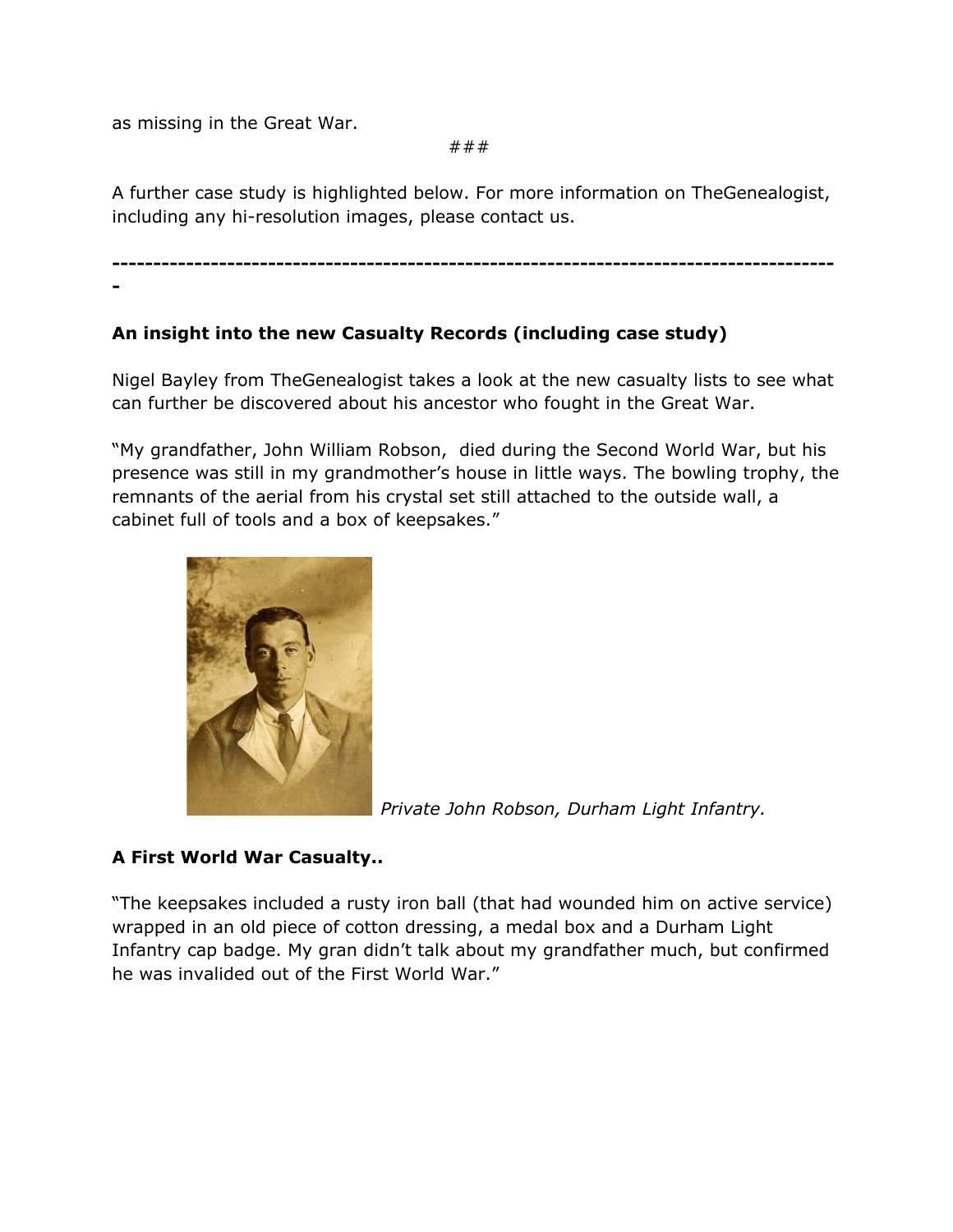as missing in the Great War.

###

A further case study is highlighted below. For more information on TheGenealogist, including any hi-resolution images, please contact us.

 -

## **An insight into the new Casualty Records (including case study)**

Nigel Bayley from TheGenealogist takes a look at the new casualty lists to see what can further be discovered about his ancestor who fought in the Great War.

"My grandfather, John William Robson, died during the Second World War, but his presence was still in my grandmother's house in little ways. The bowling trophy, the remnants of the aerial from his crystal set still attached to the outside wall, a cabinet full of tools and a box of keepsakes."



*Private John Robson, Durham Light Infantry.*

## **A First World War Casualty..**

"The keepsakes included a rusty iron ball (that had wounded him on active service) wrapped in an old piece of cotton dressing, a medal box and a Durham Light Infantry cap badge. My gran didn't talk about my grandfather much, but confirmed he was invalided out of the First World War."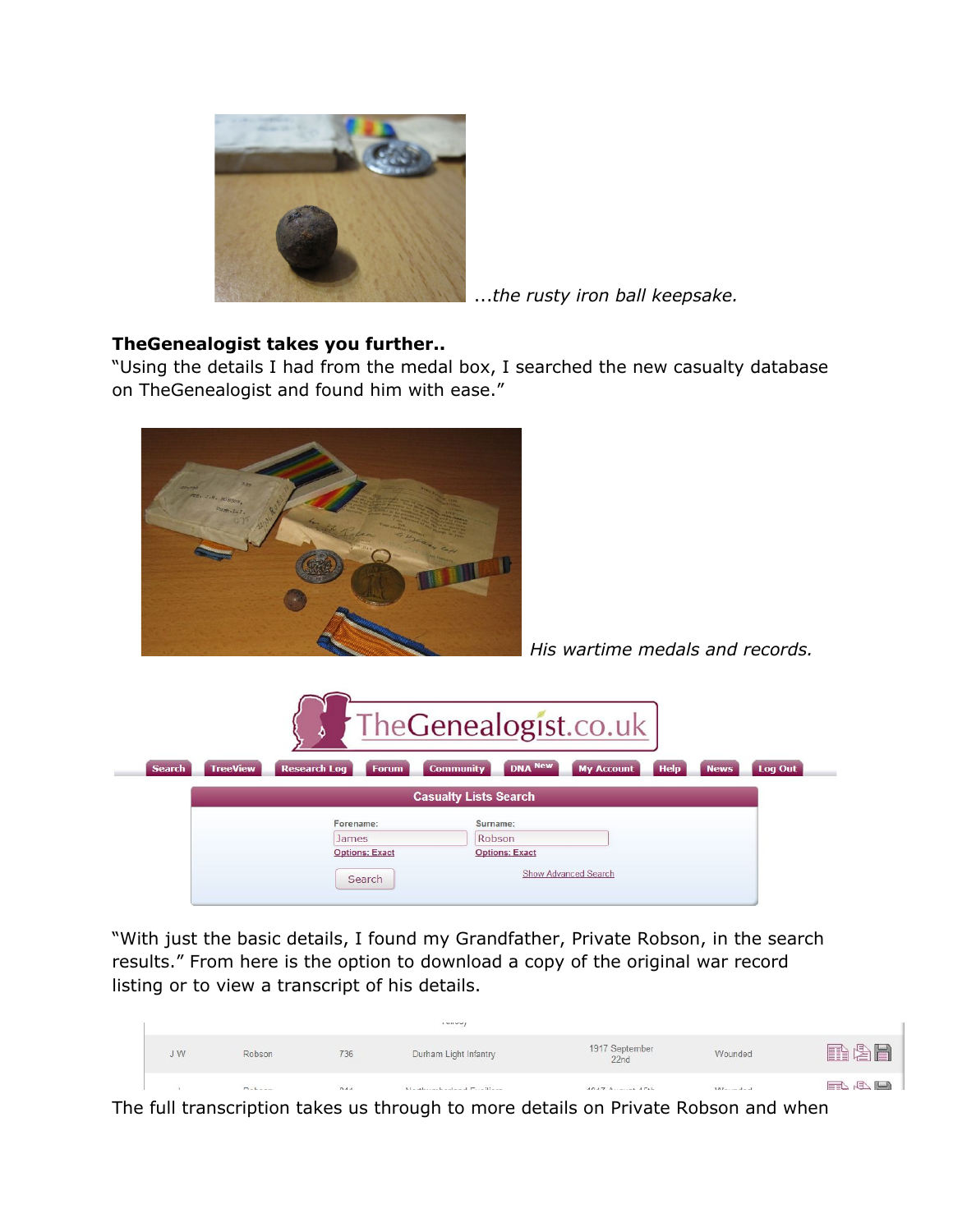

...*the rusty iron ball keepsake.*

## **TheGenealogist takes you further..**

"Using the details I had from the medal box, I searched the new casualty database on TheGenealogist and found him with ease."



*His wartime medals and records.*

|                              |                                |                       | TheGenealogist.co.uk             |                       |                   |             |             |                |
|------------------------------|--------------------------------|-----------------------|----------------------------------|-----------------------|-------------------|-------------|-------------|----------------|
| <b>Search</b>                | <b>TreeView</b>                | <b>Research Log</b>   | <b>Community</b><br><b>Forum</b> | <b>DNA New</b>        | <b>My Account</b> | <b>Help</b> | <b>News</b> | <b>Log Out</b> |
| <b>Casualty Lists Search</b> |                                |                       |                                  |                       |                   |             |             |                |
|                              |                                | Forename:             | Surname:                         |                       |                   |             |             |                |
|                              |                                | James                 |                                  | Robson                |                   |             |             |                |
|                              |                                | <b>Options: Exact</b> |                                  | <b>Options: Exact</b> |                   |             |             |                |
|                              | Show Advanced Search<br>Search |                       |                                  |                       |                   |             |             |                |

"With just the basic details, I found my Grandfather, Private Robson, in the search results." From here is the option to download a copy of the original war record listing or to view a transcript of his details.

|    |             |     | ,  ,                      |                        |         |        |
|----|-------------|-----|---------------------------|------------------------|---------|--------|
| JW | Robson      | 736 | Durham Light Infantry     | 1917 September<br>22nd | Wounded | 用心目    |
|    | $D - L - -$ | 044 | Marshall and and Fredrick | $4047$ $A$ $471$       | 111     | $\Box$ |

The full transcription takes us through to more details on Private Robson and when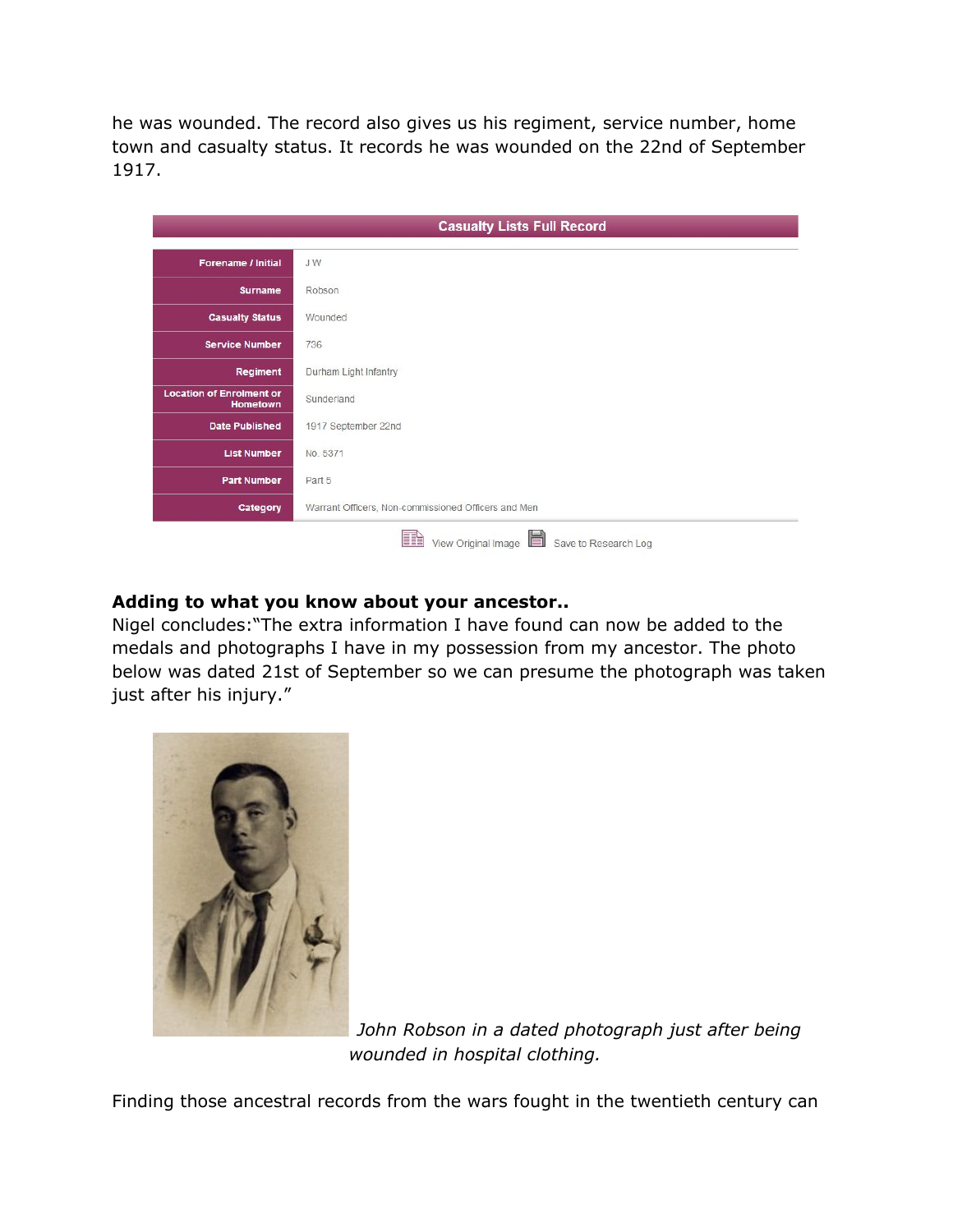he was wounded. The record also gives us his regiment, service number, home town and casualty status. It records he was wounded on the 22nd of September 1917.

|                                                    | <b>Casualty Lists Full Record</b>                      |  |  |
|----------------------------------------------------|--------------------------------------------------------|--|--|
| Forename / Initial                                 | <b>JW</b>                                              |  |  |
| <b>Surname</b>                                     | Robson                                                 |  |  |
| <b>Casualty Status</b>                             | Wounded                                                |  |  |
| <b>Service Number</b>                              | 736                                                    |  |  |
| Regiment                                           | Durham Light Infantry                                  |  |  |
| <b>Location of Enrolment or</b><br><b>Hometown</b> | Sunderland                                             |  |  |
| <b>Date Published</b>                              | 1917 September 22nd                                    |  |  |
| <b>List Number</b>                                 | No. 5371                                               |  |  |
| <b>Part Number</b>                                 | Part 5                                                 |  |  |
| Category                                           | Warrant Officers, Non-commissioned Officers and Men    |  |  |
|                                                    | HH<br>View Original Image<br>Save to Research Log<br>E |  |  |

## **Adding to what you know about your ancestor..**

Nigel concludes:"The extra information I have found can now be added to the medals and photographs I have in my possession from my ancestor. The photo below was dated 21st of September so we can presume the photograph was taken just after his injury."



*John Robson in a dated photograph just after being wounded in hospital clothing.*

Finding those ancestral records from the wars fought in the twentieth century can